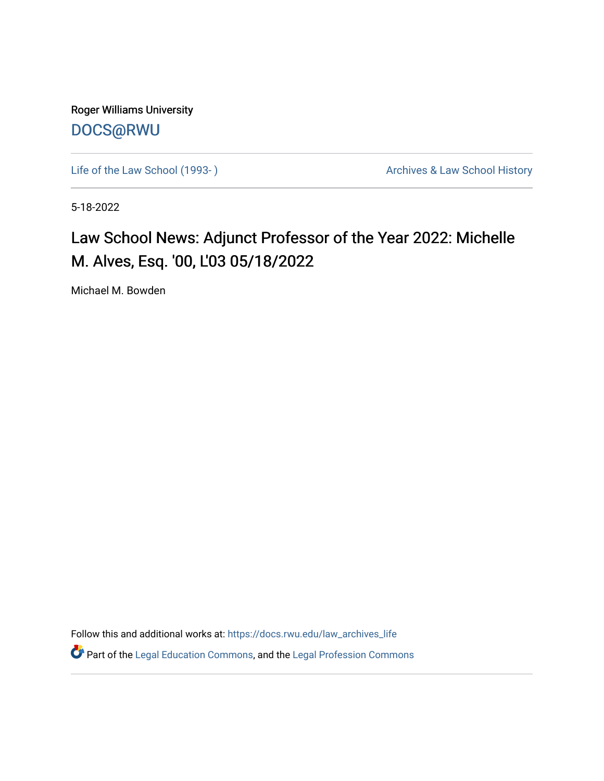Roger Williams University [DOCS@RWU](https://docs.rwu.edu/)

Life of the Law School (1993-) **Archives & Law School History** Archives & Law School History

5-18-2022

## Law School News: Adjunct Professor of the Year 2022: Michelle M. Alves, Esq. '00, L'03 05/18/2022

Michael M. Bowden

Follow this and additional works at: [https://docs.rwu.edu/law\\_archives\\_life](https://docs.rwu.edu/law_archives_life?utm_source=docs.rwu.edu%2Flaw_archives_life%2F783&utm_medium=PDF&utm_campaign=PDFCoverPages)

**C**<sup> $\bullet$ </sup> Part of the [Legal Education Commons,](https://network.bepress.com/hgg/discipline/857?utm_source=docs.rwu.edu%2Flaw_archives_life%2F783&utm_medium=PDF&utm_campaign=PDFCoverPages) and the Legal Profession Commons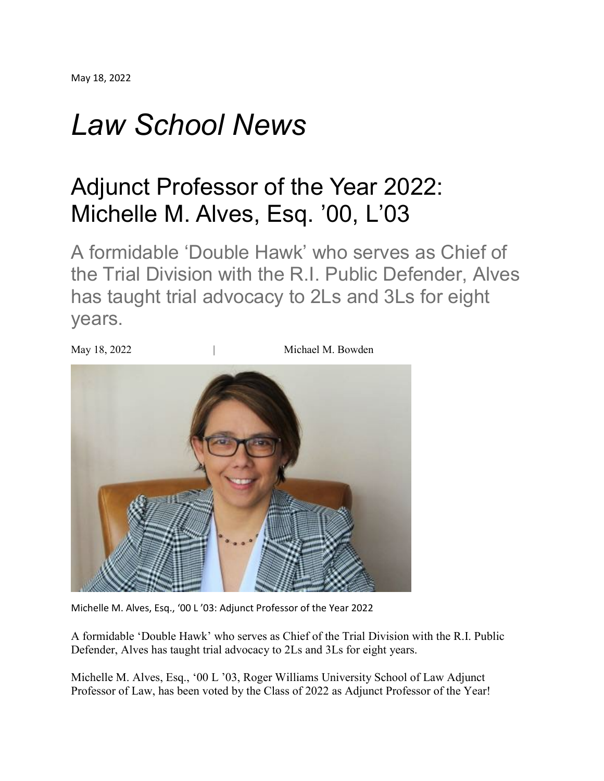## *Law School News*

## Adjunct Professor of the Year 2022: Michelle M. Alves, Esq. '00, L'03

A formidable 'Double Hawk' who serves as Chief of the Trial Division with the R.I. Public Defender, Alves has taught trial advocacy to 2Ls and 3Ls for eight years.



Michelle M. Alves, Esq., '00 L '03: Adjunct Professor of the Year 2022

A formidable 'Double Hawk' who serves as Chief of the Trial Division with the R.I. Public Defender, Alves has taught trial advocacy to 2Ls and 3Ls for eight years.

Michelle M. Alves, Esq., '00 L '03, Roger Williams University School of Law Adjunct Professor of Law, has been voted by the Class of 2022 as Adjunct Professor of the Year!